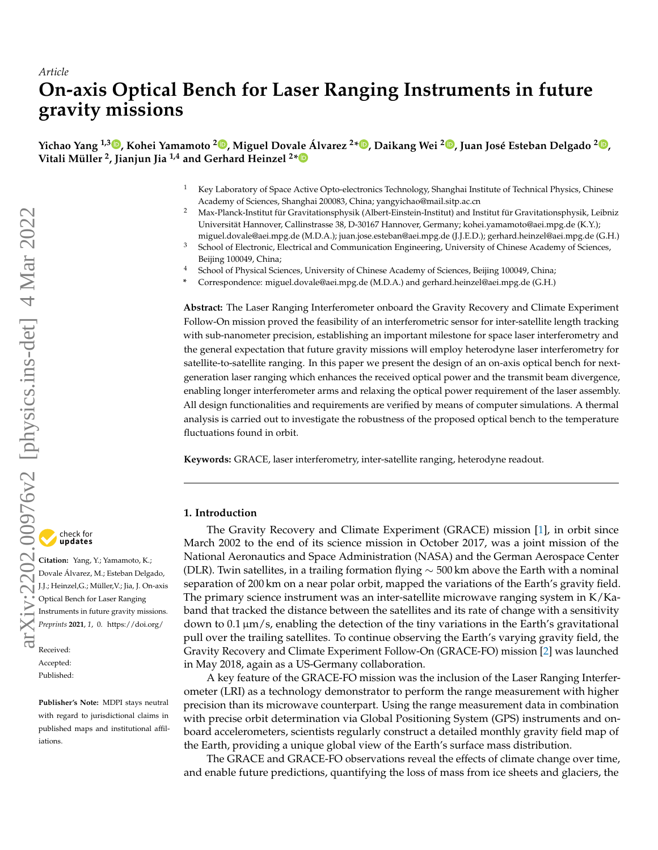# *Article* **On-axis Optical Bench for Laser Ranging Instruments in future gravity missions**

Yichao Yang <sup>1[,](https://orcid.org/0000-0002-7613-3681)3</sup>D, Kohei Yamamoto <sup>2</sup>D, Miguel Dova[le Á](https://orcid.org/0000-0003-1661-7868)lvarez <sup>2∗</sup>D, Daikang Wei <sup>2</sup>D, Juan José Esteban Delgado <sup>2</sup>D, **Vitali Müller <sup>2</sup> , Jianjun Jia 1,4 and Gerhard Heinzel <sup>2</sup> \***

- <sup>1</sup> Key Laboratory of Space Active Opto-electronics Technology, Shanghai Institute of Technical Physics, Chinese Academy of Sciences, Shanghai 200083, China; yangyichao@mail.sitp.ac.cn
- <sup>2</sup> Max-Planck-Institut für Gravitationsphysik (Albert-Einstein-Institut) and Institut für Gravitationsphysik, Leibniz Universität Hannover, Callinstrasse 38, D-30167 Hannover, Germany; kohei.yamamoto@aei.mpg.de (K.Y.); miguel.dovale@aei.mpg.de (M.D.A.); juan.jose.esteban@aei.mpg.de (J.J.E.D.); gerhard.heinzel@aei.mpg.de (G.H.)
- <sup>3</sup> School of Electronic, Electrical and Communication Engineering, University of Chinese Academy of Sciences, Beijing 100049, China;
- <sup>4</sup> School of Physical Sciences, University of Chinese Academy of Sciences, Beijing 100049, China;
- **\*** Correspondence: miguel.dovale@aei.mpg.de (M.D.A.) and gerhard.heinzel@aei.mpg.de (G.H.)

**Abstract:** The Laser Ranging Interferometer onboard the Gravity Recovery and Climate Experiment Follow-On mission proved the feasibility of an interferometric sensor for inter-satellite length tracking with sub-nanometer precision, establishing an important milestone for space laser interferometry and the general expectation that future gravity missions will employ heterodyne laser interferometry for satellite-to-satellite ranging. In this paper we present the design of an on-axis optical bench for nextgeneration laser ranging which enhances the received optical power and the transmit beam divergence, enabling longer interferometer arms and relaxing the optical power requirement of the laser assembly. All design functionalities and requirements are verified by means of computer simulations. A thermal analysis is carried out to investigate the robustness of the proposed optical bench to the temperature fluctuations found in orbit.

**Keywords:** GRACE, laser interferometry, inter-satellite ranging, heterodyne readout.

## **1. Introduction**

The Gravity Recovery and Climate Experiment (GRACE) mission [\[1\]](#page-15-0), in orbit since March 2002 to the end of its science mission in October 2017, was a joint mission of the National Aeronautics and Space Administration (NASA) and the German Aerospace Center (DLR). Twin satellites, in a trailing formation flying  $\sim$  500 km above the Earth with a nominal separation of 200 km on a near polar orbit, mapped the variations of the Earth's gravity field. The primary science instrument was an inter-satellite microwave ranging system in K/Kaband that tracked the distance between the satellites and its rate of change with a sensitivity down to  $0.1 \mu m/s$ , enabling the detection of the tiny variations in the Earth's gravitational pull over the trailing satellites. To continue observing the Earth's varying gravity field, the Gravity Recovery and Climate Experiment Follow-On (GRACE-FO) mission [\[2\]](#page-15-1) was launched in May 2018, again as a US-Germany collaboration.

A key feature of the GRACE-FO mission was the inclusion of the Laser Ranging Interferometer (LRI) as a technology demonstrator to perform the range measurement with higher precision than its microwave counterpart. Using the range measurement data in combination with precise orbit determination via Global Positioning System (GPS) instruments and onboard accelerometers, scientists regularly construct a detailed monthly gravity field map of the Earth, providing a unique global view of the Earth's surface mass distribution.

The GRACE and GRACE-FO observations reveal the effects of climate change over time, and enable future predictions, quantifying the loss of mass from ice sheets and glaciers, the

**Citation:** Yang, Y.; Yamamoto, K.; Dovale Álvarez, M.; Esteban Delgado, J.J.; Heinzel,G.; Müller,V.; Jia, J. On-axis Optical Bench for Laser Ranging Instruments in future gravity missions. *Preprints* **2021**, *1*, 0. [https://doi.org/](https://doi.org/10.3390/1010000)

Received: Accepted: Published:

**Publisher's Note:** MDPI stays neutral with regard to jurisdictional claims in published maps and institutional affiliations.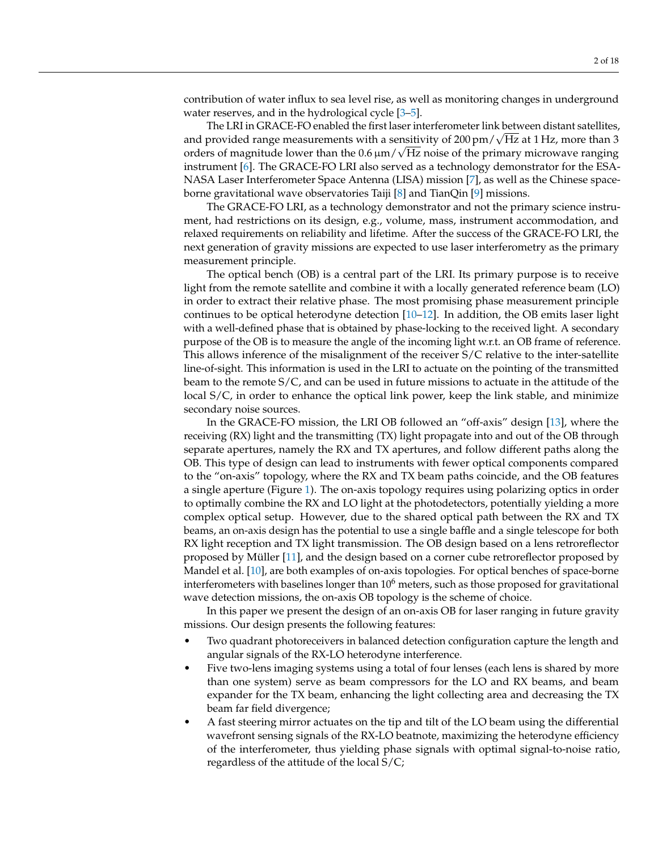contribution of water influx to sea level rise, as well as monitoring changes in underground water reserves, and in the hydrological cycle [\[3](#page-15-2)[–5\]](#page-16-0).

The LRI in GRACE-FO enabled the first laser interferometer link between distant satellites, The LKI in GKACE-FO enabled the first laser interferometer link between distant satellites<br>and provided range measurements with a sensitivity of  $200 \text{ pm} / \sqrt{\text{Hz}}$  at 1 Hz, more than 3 orders of magnitude lower than the 0.6  $\mu$ m/ $\sqrt{\text{Hz}}$  noise of the primary microwave ranging instrument [\[6\]](#page-16-1). The GRACE-FO LRI also served as a technology demonstrator for the ESA-NASA Laser Interferometer Space Antenna (LISA) mission [\[7\]](#page-16-2), as well as the Chinese spaceborne gravitational wave observatories Taiji [\[8\]](#page-16-3) and TianQin [\[9\]](#page-16-4) missions.

The GRACE-FO LRI, as a technology demonstrator and not the primary science instrument, had restrictions on its design, e.g., volume, mass, instrument accommodation, and relaxed requirements on reliability and lifetime. After the success of the GRACE-FO LRI, the next generation of gravity missions are expected to use laser interferometry as the primary measurement principle.

The optical bench (OB) is a central part of the LRI. Its primary purpose is to receive light from the remote satellite and combine it with a locally generated reference beam (LO) in order to extract their relative phase. The most promising phase measurement principle continues to be optical heterodyne detection [\[10–](#page-16-5)[12\]](#page-16-6). In addition, the OB emits laser light with a well-defined phase that is obtained by phase-locking to the received light. A secondary purpose of the OB is to measure the angle of the incoming light w.r.t. an OB frame of reference. This allows inference of the misalignment of the receiver S/C relative to the inter-satellite line-of-sight. This information is used in the LRI to actuate on the pointing of the transmitted beam to the remote S/C, and can be used in future missions to actuate in the attitude of the local S/C, in order to enhance the optical link power, keep the link stable, and minimize secondary noise sources.

In the GRACE-FO mission, the LRI OB followed an "off-axis" design [\[13\]](#page-16-7), where the receiving (RX) light and the transmitting (TX) light propagate into and out of the OB through separate apertures, namely the RX and TX apertures, and follow different paths along the OB. This type of design can lead to instruments with fewer optical components compared to the "on-axis" topology, where the RX and TX beam paths coincide, and the OB features a single aperture (Figure [1\)](#page-2-0). The on-axis topology requires using polarizing optics in order to optimally combine the RX and LO light at the photodetectors, potentially yielding a more complex optical setup. However, due to the shared optical path between the RX and TX beams, an on-axis design has the potential to use a single baffle and a single telescope for both RX light reception and TX light transmission. The OB design based on a lens retroreflector proposed by Müller [\[11\]](#page-16-8), and the design based on a corner cube retroreflector proposed by Mandel et al. [\[10\]](#page-16-5), are both examples of on-axis topologies. For optical benches of space-borne interferometers with baselines longer than  $10<sup>6</sup>$  meters, such as those proposed for gravitational wave detection missions, the on-axis OB topology is the scheme of choice.

In this paper we present the design of an on-axis OB for laser ranging in future gravity missions. Our design presents the following features:

- Two quadrant photoreceivers in balanced detection configuration capture the length and angular signals of the RX-LO heterodyne interference.
- Five two-lens imaging systems using a total of four lenses (each lens is shared by more than one system) serve as beam compressors for the LO and RX beams, and beam expander for the TX beam, enhancing the light collecting area and decreasing the TX beam far field divergence;
- A fast steering mirror actuates on the tip and tilt of the LO beam using the differential wavefront sensing signals of the RX-LO beatnote, maximizing the heterodyne efficiency of the interferometer, thus yielding phase signals with optimal signal-to-noise ratio, regardless of the attitude of the local S/C;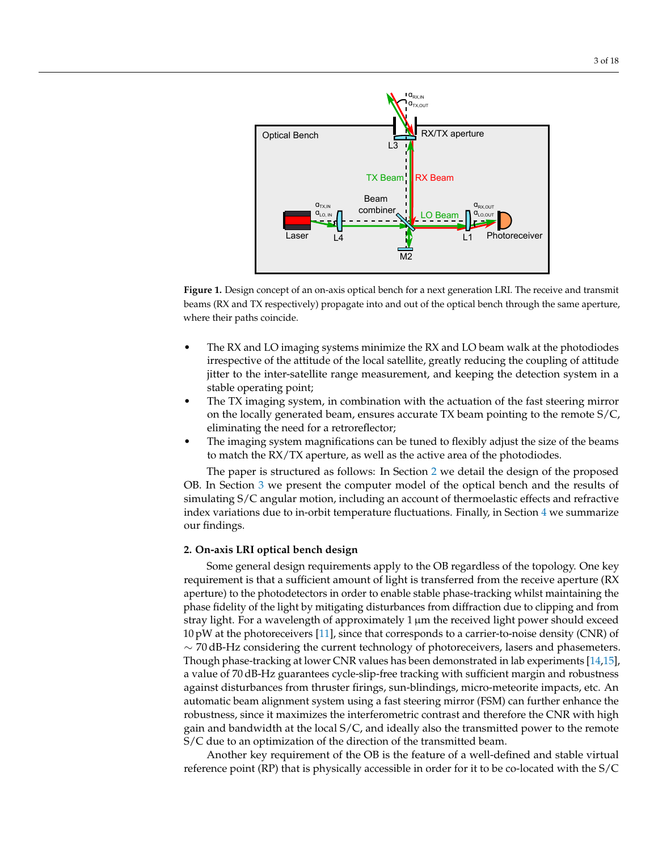<span id="page-2-0"></span>

**Figure 1.** Design concept of an on-axis optical bench for a next generation LRI. The receive and transmit beams (RX and TX respectively) propagate into and out of the optical bench through the same aperture, where their paths coincide.

- The RX and LO imaging systems minimize the RX and LO beam walk at the photodiodes irrespective of the attitude of the local satellite, greatly reducing the coupling of attitude jitter to the inter-satellite range measurement, and keeping the detection system in a stable operating point;
- The TX imaging system, in combination with the actuation of the fast steering mirror on the locally generated beam, ensures accurate TX beam pointing to the remote S/C, eliminating the need for a retroreflector;
- The imaging system magnifications can be tuned to flexibly adjust the size of the beams to match the RX/TX aperture, as well as the active area of the photodiodes.

The paper is structured as follows: In Section [2](#page-2-1) we detail the design of the proposed OB. In Section [3](#page-6-0) we present the computer model of the optical bench and the results of simulating S/C angular motion, including an account of thermoelastic effects and refractive index variations due to in-orbit temperature fluctuations. Finally, in Section  $4$  we summarize our findings.

## <span id="page-2-1"></span>**2. On-axis LRI optical bench design**

Some general design requirements apply to the OB regardless of the topology. One key requirement is that a sufficient amount of light is transferred from the receive aperture (RX aperture) to the photodetectors in order to enable stable phase-tracking whilst maintaining the phase fidelity of the light by mitigating disturbances from diffraction due to clipping and from stray light. For a wavelength of approximately 1 µm the received light power should exceed  $10 \text{ pW}$  at the photoreceivers [\[11\]](#page-16-8), since that corresponds to a carrier-to-noise density (CNR) of  $\sim$  70 dB-Hz considering the current technology of photoreceivers, lasers and phasemeters. Though phase-tracking at lower CNR values has been demonstrated in lab experiments [\[14,](#page-16-9)[15\]](#page-16-10), a value of 70 dB-Hz guarantees cycle-slip-free tracking with sufficient margin and robustness against disturbances from thruster firings, sun-blindings, micro-meteorite impacts, etc. An automatic beam alignment system using a fast steering mirror (FSM) can further enhance the robustness, since it maximizes the interferometric contrast and therefore the CNR with high gain and bandwidth at the local S/C, and ideally also the transmitted power to the remote S/C due to an optimization of the direction of the transmitted beam.

Another key requirement of the OB is the feature of a well-defined and stable virtual reference point (RP) that is physically accessible in order for it to be co-located with the S/C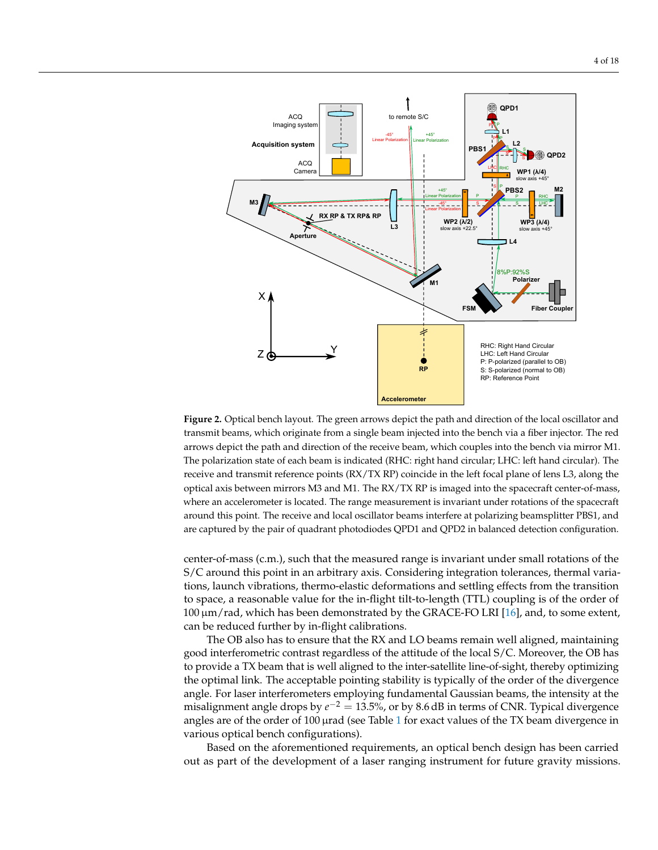<span id="page-3-0"></span>

**Figure 2.** Optical bench layout. The green arrows depict the path and direction of the local oscillator and transmit beams, which originate from a single beam injected into the bench via a fiber injector. The red arrows depict the path and direction of the receive beam, which couples into the bench via mirror M1. The polarization state of each beam is indicated (RHC: right hand circular; LHC: left hand circular). The receive and transmit reference points (RX/TX RP) coincide in the left focal plane of lens L3, along the optical axis between mirrors M3 and M1. The RX/TX RP is imaged into the spacecraft center-of-mass, where an accelerometer is located. The range measurement is invariant under rotations of the spacecraft around this point. The receive and local oscillator beams interfere at polarizing beamsplitter PBS1, and are captured by the pair of quadrant photodiodes QPD1 and QPD2 in balanced detection configuration.

center-of-mass (c.m.), such that the measured range is invariant under small rotations of the S/C around this point in an arbitrary axis. Considering integration tolerances, thermal variations, launch vibrations, thermo-elastic deformations and settling effects from the transition to space, a reasonable value for the in-flight tilt-to-length (TTL) coupling is of the order of 100 µm/rad, which has been demonstrated by the GRACE-FO LRI [\[16\]](#page-16-11), and, to some extent, can be reduced further by in-flight calibrations.

The OB also has to ensure that the RX and LO beams remain well aligned, maintaining good interferometric contrast regardless of the attitude of the local S/C. Moreover, the OB has to provide a TX beam that is well aligned to the inter-satellite line-of-sight, thereby optimizing the optimal link. The acceptable pointing stability is typically of the order of the divergence angle. For laser interferometers employing fundamental Gaussian beams, the intensity at the misalignment angle drops by  $e^{-2} = 13.5$ %, or by 8.6 dB in terms of CNR. Typical divergence angles are of the order of  $100 \mu$  $100 \mu$ rad (see Table 1 for exact values of the TX beam divergence in various optical bench configurations).

Based on the aforementioned requirements, an optical bench design has been carried out as part of the development of a laser ranging instrument for future gravity missions.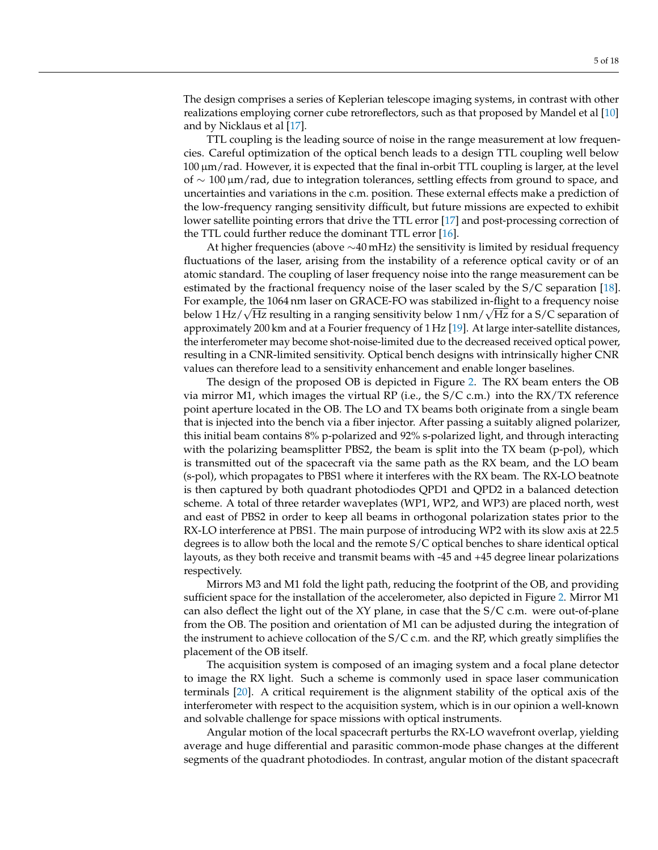The design comprises a series of Keplerian telescope imaging systems, in contrast with other realizations employing corner cube retroreflectors, such as that proposed by Mandel et al [\[10\]](#page-16-5) and by Nicklaus et al [\[17\]](#page-16-12).

TTL coupling is the leading source of noise in the range measurement at low frequencies. Careful optimization of the optical bench leads to a design TTL coupling well below 100 µm/rad. However, it is expected that the final in-orbit TTL coupling is larger, at the level of ∼ 100 µm/rad, due to integration tolerances, settling effects from ground to space, and uncertainties and variations in the c.m. position. These external effects make a prediction of the low-frequency ranging sensitivity difficult, but future missions are expected to exhibit lower satellite pointing errors that drive the TTL error [\[17\]](#page-16-12) and post-processing correction of the TTL could further reduce the dominant TTL error [\[16\]](#page-16-11).

At higher frequencies (above ∼40 mHz) the sensitivity is limited by residual frequency fluctuations of the laser, arising from the instability of a reference optical cavity or of an atomic standard. The coupling of laser frequency noise into the range measurement can be estimated by the fractional frequency noise of the laser scaled by the S/C separation [\[18\]](#page-16-13). For example, the 1064 nm laser on GRACE-FO was stabilized in-flight to a frequency noise ror example, the 1064 nm laser on GRACE-FO was stabilized in-filght to a frequency noise<br>below 1 Hz/√Hz resulting in a ranging sensitivity below 1 nm/√Hz for a S/C separation of approximately 200 km and at a Fourier frequency of 1 Hz [\[19\]](#page-16-14). At large inter-satellite distances, the interferometer may become shot-noise-limited due to the decreased received optical power, resulting in a CNR-limited sensitivity. Optical bench designs with intrinsically higher CNR values can therefore lead to a sensitivity enhancement and enable longer baselines.

The design of the proposed OB is depicted in Figure [2.](#page-3-0) The RX beam enters the OB via mirror M1, which images the virtual RP (i.e., the S/C c.m.) into the RX/TX reference point aperture located in the OB. The LO and TX beams both originate from a single beam that is injected into the bench via a fiber injector. After passing a suitably aligned polarizer, this initial beam contains 8% p-polarized and 92% s-polarized light, and through interacting with the polarizing beamsplitter PBS2, the beam is split into the TX beam (p-pol), which is transmitted out of the spacecraft via the same path as the RX beam, and the LO beam (s-pol), which propagates to PBS1 where it interferes with the RX beam. The RX-LO beatnote is then captured by both quadrant photodiodes QPD1 and QPD2 in a balanced detection scheme. A total of three retarder waveplates (WP1, WP2, and WP3) are placed north, west and east of PBS2 in order to keep all beams in orthogonal polarization states prior to the RX-LO interference at PBS1. The main purpose of introducing WP2 with its slow axis at 22.5 degrees is to allow both the local and the remote S/C optical benches to share identical optical layouts, as they both receive and transmit beams with -45 and +45 degree linear polarizations respectively.

Mirrors M3 and M1 fold the light path, reducing the footprint of the OB, and providing sufficient space for the installation of the accelerometer, also depicted in Figure [2.](#page-3-0) Mirror M1 can also deflect the light out of the XY plane, in case that the S/C c.m. were out-of-plane from the OB. The position and orientation of M1 can be adjusted during the integration of the instrument to achieve collocation of the S/C c.m. and the RP, which greatly simplifies the placement of the OB itself.

The acquisition system is composed of an imaging system and a focal plane detector to image the RX light. Such a scheme is commonly used in space laser communication terminals [\[20\]](#page-16-15). A critical requirement is the alignment stability of the optical axis of the interferometer with respect to the acquisition system, which is in our opinion a well-known and solvable challenge for space missions with optical instruments.

Angular motion of the local spacecraft perturbs the RX-LO wavefront overlap, yielding average and huge differential and parasitic common-mode phase changes at the different segments of the quadrant photodiodes. In contrast, angular motion of the distant spacecraft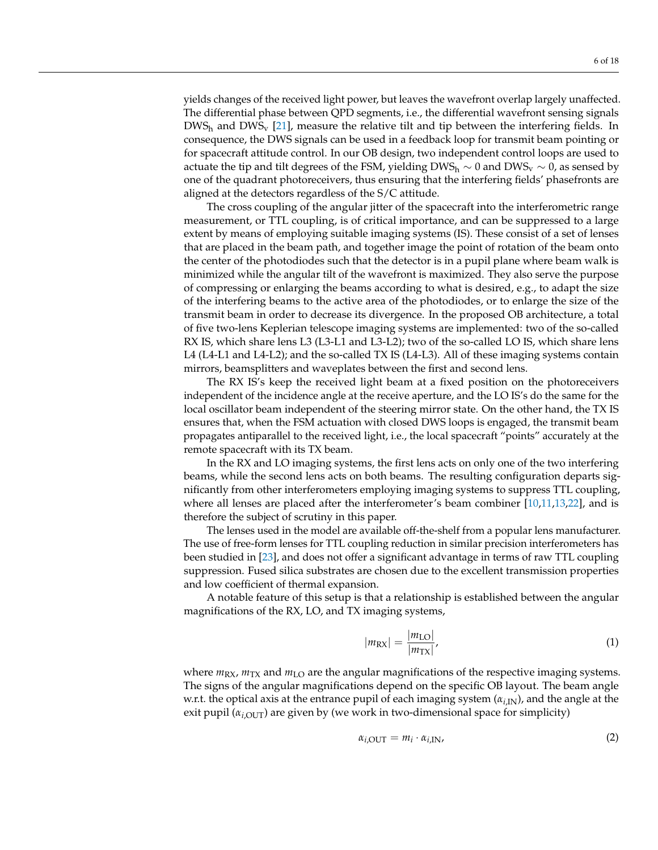yields changes of the received light power, but leaves the wavefront overlap largely unaffected. The differential phase between QPD segments, i.e., the differential wavefront sensing signals  $DWS_h$  and  $DWS_v$  [\[21\]](#page-16-16), measure the relative tilt and tip between the interfering fields. In consequence, the DWS signals can be used in a feedback loop for transmit beam pointing or for spacecraft attitude control. In our OB design, two independent control loops are used to actuate the tip and tilt degrees of the FSM, yielding DWS<sub>h</sub>  $\sim$  0 and DWS<sub>v</sub>  $\sim$  0, as sensed by one of the quadrant photoreceivers, thus ensuring that the interfering fields' phasefronts are aligned at the detectors regardless of the S/C attitude.

The cross coupling of the angular jitter of the spacecraft into the interferometric range measurement, or TTL coupling, is of critical importance, and can be suppressed to a large extent by means of employing suitable imaging systems (IS). These consist of a set of lenses that are placed in the beam path, and together image the point of rotation of the beam onto the center of the photodiodes such that the detector is in a pupil plane where beam walk is minimized while the angular tilt of the wavefront is maximized. They also serve the purpose of compressing or enlarging the beams according to what is desired, e.g., to adapt the size of the interfering beams to the active area of the photodiodes, or to enlarge the size of the transmit beam in order to decrease its divergence. In the proposed OB architecture, a total of five two-lens Keplerian telescope imaging systems are implemented: two of the so-called RX IS, which share lens L3 (L3-L1 and L3-L2); two of the so-called LO IS, which share lens L4 (L4-L1 and L4-L2); and the so-called TX IS (L4-L3). All of these imaging systems contain mirrors, beamsplitters and waveplates between the first and second lens.

The RX IS's keep the received light beam at a fixed position on the photoreceivers independent of the incidence angle at the receive aperture, and the LO IS's do the same for the local oscillator beam independent of the steering mirror state. On the other hand, the TX IS ensures that, when the FSM actuation with closed DWS loops is engaged, the transmit beam propagates antiparallel to the received light, i.e., the local spacecraft "points" accurately at the remote spacecraft with its TX beam.

In the RX and LO imaging systems, the first lens acts on only one of the two interfering beams, while the second lens acts on both beams. The resulting configuration departs significantly from other interferometers employing imaging systems to suppress TTL coupling, where all lenses are placed after the interferometer's beam combiner [\[10,](#page-16-5)[11](#page-16-8)[,13,](#page-16-7)[22\]](#page-17-0), and is therefore the subject of scrutiny in this paper.

The lenses used in the model are available off-the-shelf from a popular lens manufacturer. The use of free-form lenses for TTL coupling reduction in similar precision interferometers has been studied in [\[23\]](#page-17-1), and does not offer a significant advantage in terms of raw TTL coupling suppression. Fused silica substrates are chosen due to the excellent transmission properties and low coefficient of thermal expansion.

A notable feature of this setup is that a relationship is established between the angular magnifications of the RX, LO, and TX imaging systems,

$$
|m_{\rm RX}| = \frac{|m_{\rm LO}|}{|m_{\rm TX}|},\tag{1}
$$

where  $m_{\text{RX}}$ ,  $m_{\text{TX}}$  and  $m_{\text{LO}}$  are the angular magnifications of the respective imaging systems. The signs of the angular magnifications depend on the specific OB layout. The beam angle w.r.t. the optical axis at the entrance pupil of each imaging system (*αi*,IN), and the angle at the exit pupil  $(\alpha_{i,\text{OUT}})$  are given by (we work in two-dimensional space for simplicity)

<span id="page-5-0"></span>
$$
\alpha_{i,\text{OUT}} = m_i \cdot \alpha_{i,\text{IN}},\tag{2}
$$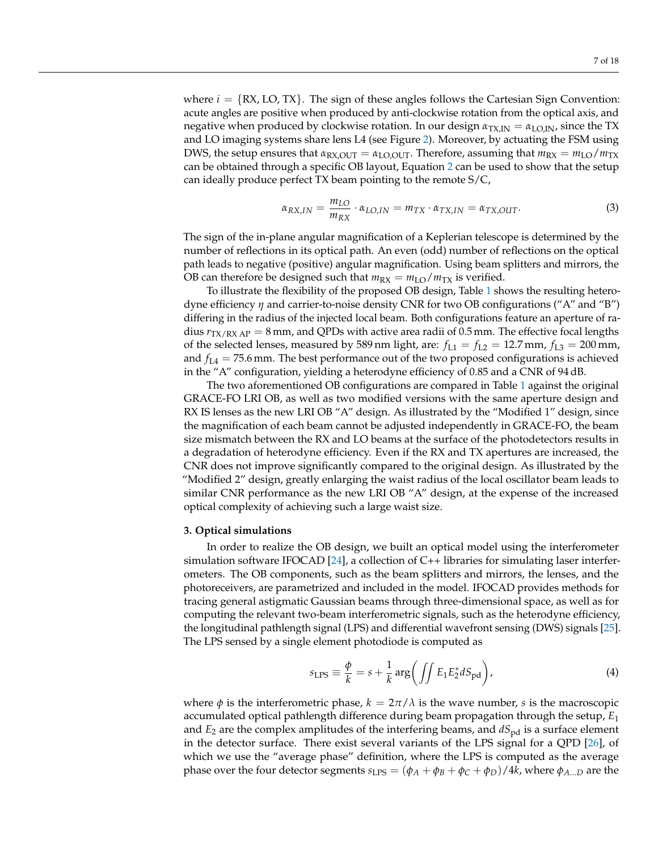where  $i = \{RX, LO, TX\}$ . The sign of these angles follows the Cartesian Sign Convention: acute angles are positive when produced by anti-clockwise rotation from the optical axis, and negative when produced by clockwise rotation. In our design  $\alpha_{\text{TX,IN}} = \alpha_{\text{LO,IN}}$ , since the TX and LO imaging systems share lens L4 (see Figure [2\)](#page-3-0). Moreover, by actuating the FSM using DWS, the setup ensures that  $\alpha_{\text{RX,OUT}} = \alpha_{\text{LO,OUT}}$ . Therefore, assuming that  $m_{\text{RX}} = m_{\text{LO}}/m_{\text{TX}}$ can be obtained through a specific OB layout, Equation [2](#page-5-0) can be used to show that the setup can ideally produce perfect TX beam pointing to the remote S/C,

$$
\alpha_{RX,IN} = \frac{m_{LO}}{m_{RX}} \cdot \alpha_{LO,IN} = m_{TX} \cdot \alpha_{TX,IN} = \alpha_{TX,OUT}.
$$
 (3)

The sign of the in-plane angular magnification of a Keplerian telescope is determined by the number of reflections in its optical path. An even (odd) number of reflections on the optical path leads to negative (positive) angular magnification. Using beam splitters and mirrors, the OB can therefore be designed such that  $m_{RX} = m_{LO}/m_{TX}$  is verified.

To illustrate the flexibility of the proposed OB design, Table [1](#page-7-0) shows the resulting heterodyne efficiency *η* and carrier-to-noise density CNR for two OB configurations ("A" and "B") differing in the radius of the injected local beam. Both configurations feature an aperture of radius  $r_{TX/RX AP} = 8$  mm, and QPDs with active area radii of 0.5 mm. The effective focal lengths of the selected lenses, measured by 589 nm light, are:  $f_{L1} = f_{L2} = 12.7$  mm,  $f_{L3} = 200$  mm, and  $f_{L4} = 75.6$  mm. The best performance out of the two proposed configurations is achieved in the "A" configuration, yielding a heterodyne efficiency of 0.85 and a CNR of 94 dB.

The two aforementioned OB configurations are compared in Table [1](#page-7-0) against the original GRACE-FO LRI OB, as well as two modified versions with the same aperture design and RX IS lenses as the new LRI OB "A" design. As illustrated by the "Modified 1" design, since the magnification of each beam cannot be adjusted independently in GRACE-FO, the beam size mismatch between the RX and LO beams at the surface of the photodetectors results in a degradation of heterodyne efficiency. Even if the RX and TX apertures are increased, the CNR does not improve significantly compared to the original design. As illustrated by the "Modified 2" design, greatly enlarging the waist radius of the local oscillator beam leads to similar CNR performance as the new LRI OB "A" design, at the expense of the increased optical complexity of achieving such a large waist size.

# <span id="page-6-0"></span>**3. Optical simulations**

In order to realize the OB design, we built an optical model using the interferometer simulation software IFOCAD [\[24\]](#page-17-2), a collection of C++ libraries for simulating laser interferometers. The OB components, such as the beam splitters and mirrors, the lenses, and the photoreceivers, are parametrized and included in the model. IFOCAD provides methods for tracing general astigmatic Gaussian beams through three-dimensional space, as well as for computing the relevant two-beam interferometric signals, such as the heterodyne efficiency, the longitudinal pathlength signal (LPS) and differential wavefront sensing (DWS) signals [\[25\]](#page-17-3). The LPS sensed by a single element photodiode is computed as

$$
s_{\text{LPS}} \equiv \frac{\phi}{k} = s + \frac{1}{k} \arg \left( \iint E_1 E_2^* dS_{\text{pd}} \right), \tag{4}
$$

where  $\phi$  is the interferometric phase,  $k = 2\pi/\lambda$  is the wave number, *s* is the macroscopic accumulated optical pathlength difference during beam propagation through the setup, *E*<sup>1</sup> and  $E_2$  are the complex amplitudes of the interfering beams, and  $dS_{\text{pd}}$  is a surface element in the detector surface. There exist several variants of the LPS signal for a QPD [\[26\]](#page-17-4), of which we use the "average phase" definition, where the LPS is computed as the average phase over the four detector segments  $s_{LPS} = (\phi_A + \phi_B + \phi_C + \phi_D)/4k$ , where  $\phi_{A...D}$  are the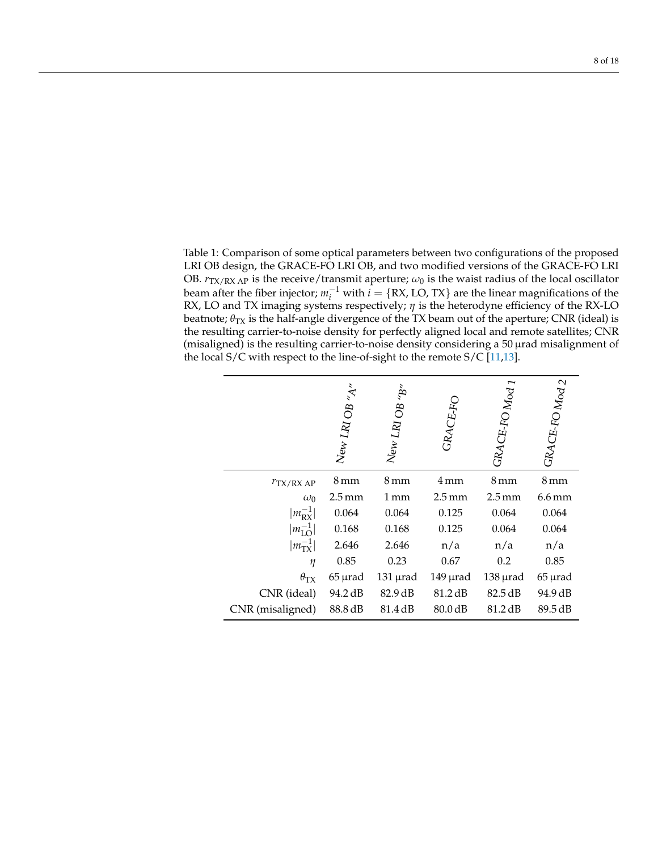<span id="page-7-0"></span>Table 1: Comparison of some optical parameters between two configurations of the proposed LRI OB design, the GRACE-FO LRI OB, and two modified versions of the GRACE-FO LRI OB.  $r_{\text{TX/RX AP}}$  is the receive/transmit aperture;  $\omega_0$  is the waist radius of the local oscillator beam after the fiber injector;  $m_i^{-1}$  with  $i = \{RX, LO, TX\}$  are the linear magnifications of the RX, LO and TX imaging systems respectively; *η* is the heterodyne efficiency of the RX-LO beatnote;  $\theta_{TX}$  is the half-angle divergence of the TX beam out of the aperture; CNR (ideal) is the resulting carrier-to-noise density for perfectly aligned local and remote satellites; CNR (misaligned) is the resulting carrier-to-noise density considering a 50 µrad misalignment of the local  $S/C$  with respect to the line-of-sight to the remote  $S/C$  [\[11,](#page-16-8)[13\]](#page-16-7).

|                      | $N_{\rm ew}$ LRI OB "A" | $N_{\rm ew}$ LRI OB "B" | GRACE-FO            | ${ {^{GR}AGF\text{-}FO\,M_{0d}}}\,1$ | GRACE-FO Mod 2      |
|----------------------|-------------------------|-------------------------|---------------------|--------------------------------------|---------------------|
| $r_{\rm TX/RXAP}$    | 8 mm                    | 8 mm                    | 4 mm                | 8 mm                                 | 8 mm                |
| $\omega_0$           | $2.5 \,\mathrm{mm}$     | 1 mm                    | $2.5 \,\mathrm{mm}$ | $2.5 \,\mathrm{mm}$                  | $6.6 \,\mathrm{mm}$ |
| $ m_{\rm RX}^{-1} $  | 0.064                   | 0.064                   | 0.125               | 0.064                                | 0.064               |
| $ m_{\rm LO}^{-1} $  | 0.168                   | 0.168                   | 0.125               | 0.064                                | 0.064               |
| $ m_{\rm{TX}}^{-1} $ | 2.646                   | 2.646                   | n/a                 | n/a                                  | n/a                 |
| η                    | 0.85                    | 0.23                    | 0.67                | 0.2                                  | 0.85                |
| $\theta_{\text{TX}}$ | $65 \mu$ rad            | $131$ $\mu$ rad         | $149$ $\mu$ rad     | $138 \mu$ rad                        | $65 \mu$ rad        |
| CNR (ideal)          | 94.2 dB                 | 82.9 dB                 | 81.2 dB             | 82.5 dB                              | 94.9 dB             |
| CNR (misaligned)     | 88.8 dB                 | 81.4 dB                 | 80.0 dB             | 81.2 dB                              | 89.5 dB             |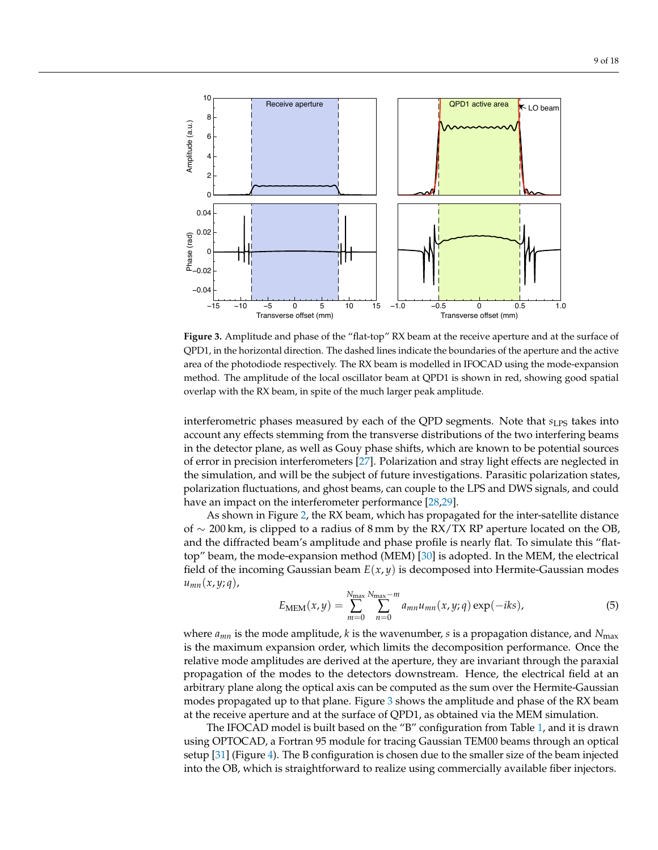<span id="page-8-0"></span>

**Figure 3.** Amplitude and phase of the "flat-top" RX beam at the receive aperture and at the surface of QPD1, in the horizontal direction. The dashed lines indicate the boundaries of the aperture and the active area of the photodiode respectively. The RX beam is modelled in IFOCAD using the mode-expansion method. The amplitude of the local oscillator beam at QPD1 is shown in red, showing good spatial overlap with the RX beam, in spite of the much larger peak amplitude.

interferometric phases measured by each of the QPD segments. Note that  $s_{LPS}$  takes into account any effects stemming from the transverse distributions of the two interfering beams in the detector plane, as well as Gouy phase shifts, which are known to be potential sources of error in precision interferometers [\[27\]](#page-17-5). Polarization and stray light effects are neglected in the simulation, and will be the subject of future investigations. Parasitic polarization states, polarization fluctuations, and ghost beams, can couple to the LPS and DWS signals, and could have an impact on the interferometer performance [\[28](#page-17-6)[,29\]](#page-17-7).

As shown in Figure [2,](#page-3-0) the RX beam, which has propagated for the inter-satellite distance of  $\sim$  200 km, is clipped to a radius of 8 mm by the RX/TX RP aperture located on the OB, and the diffracted beam's amplitude and phase profile is nearly flat. To simulate this "flattop" beam, the mode-expansion method (MEM) [\[30\]](#page-17-8) is adopted. In the MEM, the electrical field of the incoming Gaussian beam *E*(*x*, *y*) is decomposed into Hermite-Gaussian modes *umn*(*x*, *y*; *q*),

$$
E_{\text{MEM}}(x,y) = \sum_{m=0}^{N_{\text{max}}} \sum_{n=0}^{N_{\text{max}}-m} a_{mn} u_{mn}(x,y;q) \exp(-iks), \tag{5}
$$

where  $a_{mn}$  is the mode amplitude, *k* is the wavenumber, *s* is a propagation distance, and  $N_{\text{max}}$ is the maximum expansion order, which limits the decomposition performance. Once the relative mode amplitudes are derived at the aperture, they are invariant through the paraxial propagation of the modes to the detectors downstream. Hence, the electrical field at an arbitrary plane along the optical axis can be computed as the sum over the Hermite-Gaussian modes propagated up to that plane. Figure [3](#page-8-0) shows the amplitude and phase of the RX beam at the receive aperture and at the surface of QPD1, as obtained via the MEM simulation.

The IFOCAD model is built based on the "B" configuration from Table [1,](#page-7-0) and it is drawn using OPTOCAD, a Fortran 95 module for tracing Gaussian TEM00 beams through an optical setup [\[31\]](#page-17-9) (Figure [4\)](#page-9-0). The B configuration is chosen due to the smaller size of the beam injected into the OB, which is straightforward to realize using commercially available fiber injectors.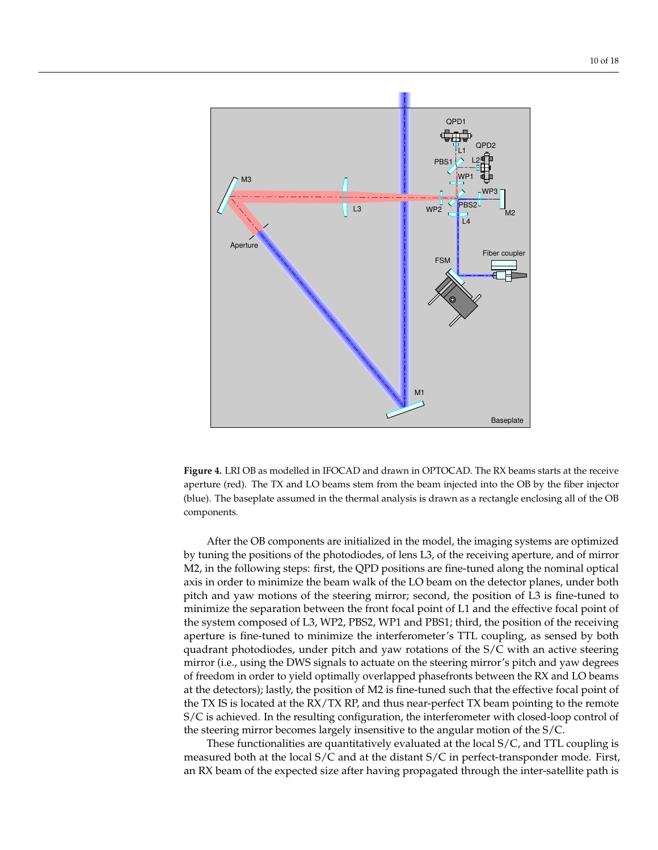<span id="page-9-0"></span>

**Figure 4.** LRI OB as modelled in IFOCAD and drawn in OPTOCAD. The RX beams starts at the receive aperture (red). The TX and LO beams stem from the beam injected into the OB by the fiber injector (blue). The baseplate assumed in the thermal analysis is drawn as a rectangle enclosing all of the OB components.

After the OB components are initialized in the model, the imaging systems are optimized by tuning the positions of the photodiodes, of lens L3, of the receiving aperture, and of mirror M2, in the following steps: first, the QPD positions are fine-tuned along the nominal optical axis in order to minimize the beam walk of the LO beam on the detector planes, under both pitch and yaw motions of the steering mirror; second, the position of L3 is fine-tuned to minimize the separation between the front focal point of L1 and the effective focal point of the system composed of L3, WP2, PBS2, WP1 and PBS1; third, the position of the receiving aperture is fine-tuned to minimize the interferometer's TTL coupling, as sensed by both quadrant photodiodes, under pitch and yaw rotations of the S/C with an active steering mirror (i.e., using the DWS signals to actuate on the steering mirror's pitch and yaw degrees of freedom in order to yield optimally overlapped phasefronts between the RX and LO beams at the detectors); lastly, the position of M2 is fine-tuned such that the effective focal point of the TX IS is located at the RX/TX RP, and thus near-perfect TX beam pointing to the remote S/C is achieved. In the resulting configuration, the interferometer with closed-loop control of the steering mirror becomes largely insensitive to the angular motion of the S/C.

These functionalities are quantitatively evaluated at the local S/C, and TTL coupling is measured both at the local S/C and at the distant S/C in perfect-transponder mode. First, an RX beam of the expected size after having propagated through the inter-satellite path is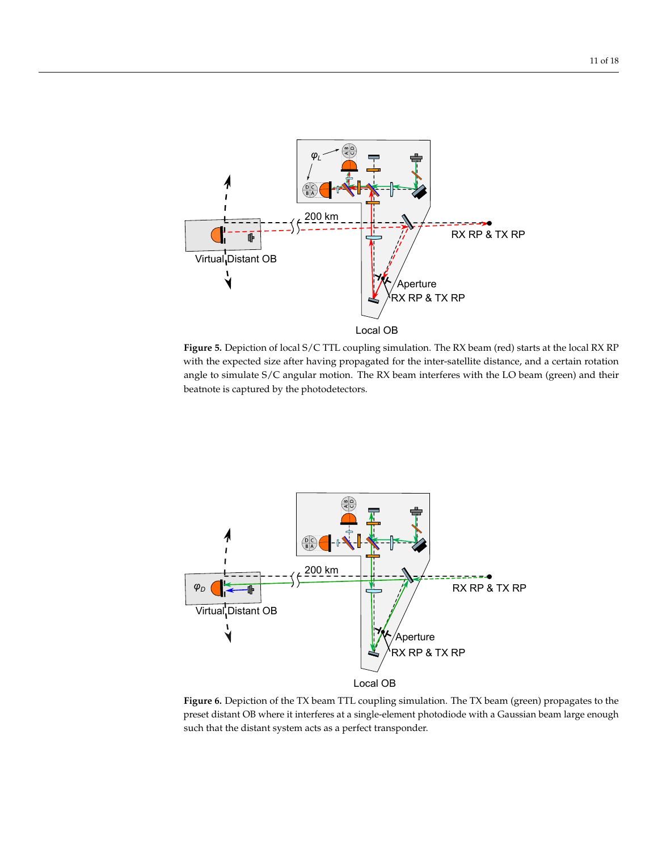<span id="page-10-0"></span>

**Figure 5.** Depiction of local S/C TTL coupling simulation. The RX beam (red) starts at the local RX RP with the expected size after having propagated for the inter-satellite distance, and a certain rotation angle to simulate S/C angular motion. The RX beam interferes with the LO beam (green) and their beatnote is captured by the photodetectors.

<span id="page-10-1"></span>

**Figure 6.** Depiction of the TX beam TTL coupling simulation. The TX beam (green) propagates to the preset distant OB where it interferes at a single-element photodiode with a Gaussian beam large enough such that the distant system acts as a perfect transponder.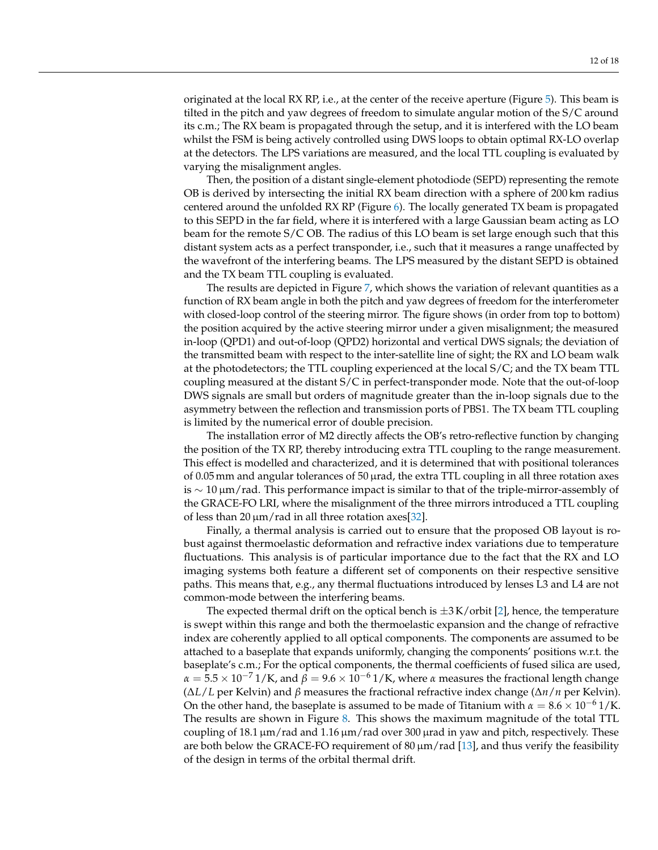originated at the local RX RP, i.e., at the center of the receive aperture (Figure [5\)](#page-10-0). This beam is tilted in the pitch and yaw degrees of freedom to simulate angular motion of the S/C around its c.m.; The RX beam is propagated through the setup, and it is interfered with the LO beam whilst the FSM is being actively controlled using DWS loops to obtain optimal RX-LO overlap at the detectors. The LPS variations are measured, and the local TTL coupling is evaluated by varying the misalignment angles.

Then, the position of a distant single-element photodiode (SEPD) representing the remote OB is derived by intersecting the initial RX beam direction with a sphere of 200 km radius centered around the unfolded RX RP (Figure [6\)](#page-10-1). The locally generated TX beam is propagated to this SEPD in the far field, where it is interfered with a large Gaussian beam acting as LO beam for the remote S/C OB. The radius of this LO beam is set large enough such that this distant system acts as a perfect transponder, i.e., such that it measures a range unaffected by the wavefront of the interfering beams. The LPS measured by the distant SEPD is obtained and the TX beam TTL coupling is evaluated.

The results are depicted in Figure [7,](#page-12-0) which shows the variation of relevant quantities as a function of RX beam angle in both the pitch and yaw degrees of freedom for the interferometer with closed-loop control of the steering mirror. The figure shows (in order from top to bottom) the position acquired by the active steering mirror under a given misalignment; the measured in-loop (QPD1) and out-of-loop (QPD2) horizontal and vertical DWS signals; the deviation of the transmitted beam with respect to the inter-satellite line of sight; the RX and LO beam walk at the photodetectors; the TTL coupling experienced at the local S/C; and the TX beam TTL coupling measured at the distant S/C in perfect-transponder mode. Note that the out-of-loop DWS signals are small but orders of magnitude greater than the in-loop signals due to the asymmetry between the reflection and transmission ports of PBS1. The TX beam TTL coupling is limited by the numerical error of double precision.

The installation error of M2 directly affects the OB's retro-reflective function by changing the position of the TX RP, thereby introducing extra TTL coupling to the range measurement. This effect is modelled and characterized, and it is determined that with positional tolerances of 0.05 mm and angular tolerances of 50 µrad, the extra TTL coupling in all three rotation axes is  $\sim 10 \,\mu m/r$ ad. This performance impact is similar to that of the triple-mirror-assembly of the GRACE-FO LRI, where the misalignment of the three mirrors introduced a TTL coupling of less than 20  $\mu$ m/rad in all three rotation axes [\[32\]](#page-17-10).

Finally, a thermal analysis is carried out to ensure that the proposed OB layout is robust against thermoelastic deformation and refractive index variations due to temperature fluctuations. This analysis is of particular importance due to the fact that the RX and LO imaging systems both feature a different set of components on their respective sensitive paths. This means that, e.g., any thermal fluctuations introduced by lenses L3 and L4 are not common-mode between the interfering beams.

The expected thermal drift on the optical bench is  $\pm 3$  K/orbit [\[2\]](#page-15-1), hence, the temperature is swept within this range and both the thermoelastic expansion and the change of refractive index are coherently applied to all optical components. The components are assumed to be attached to a baseplate that expands uniformly, changing the components' positions w.r.t. the baseplate's c.m.; For the optical components, the thermal coefficients of fused silica are used,  $\alpha = 5.5 \times 10^{-7}$  1/K, and  $\beta = 9.6 \times 10^{-6}$  1/K, where  $\alpha$  measures the fractional length change (∆*L*/*L* per Kelvin) and *β* measures the fractional refractive index change (∆*n*/*n* per Kelvin). On the other hand, the baseplate is assumed to be made of Titanium with  $\alpha = 8.6 \times 10^{-6}$  1/K. The results are shown in Figure [8.](#page-13-0) This shows the maximum magnitude of the total TTL coupling of 18.1  $\mu$ m/rad and 1.16  $\mu$ m/rad over 300  $\mu$ rad in yaw and pitch, respectively. These are both below the GRACE-FO requirement of 80  $\mu$ m/rad [\[13\]](#page-16-7), and thus verify the feasibility of the design in terms of the orbital thermal drift.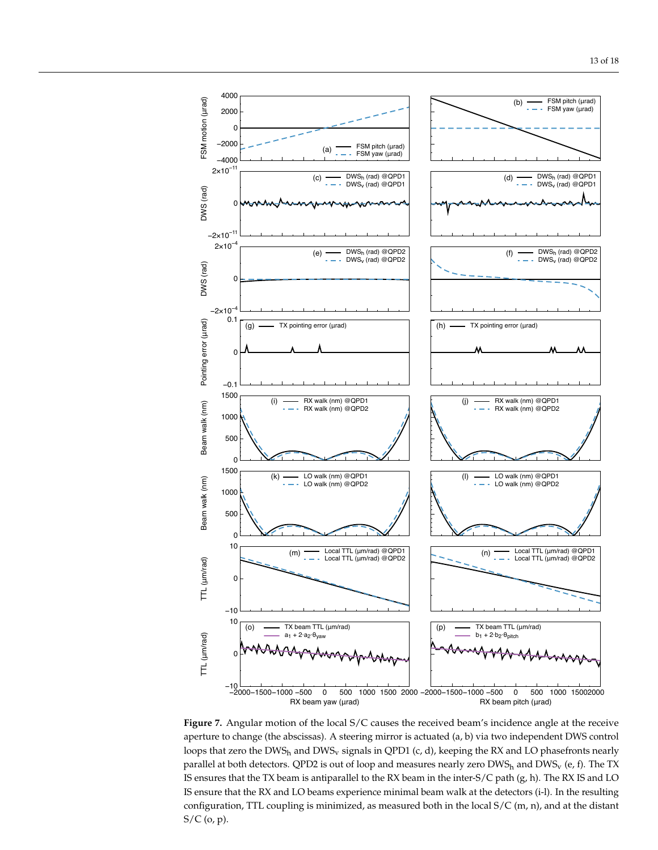<span id="page-12-0"></span>

**Figure 7.** Angular motion of the local S/C causes the received beam's incidence angle at the receive aperture to change (the abscissas). A steering mirror is actuated (a, b) via two independent DWS control loops that zero the DWS<sub>h</sub> and DWS<sub>y</sub> signals in QPD1 (c, d), keeping the RX and LO phasefronts nearly parallel at both detectors. QPD2 is out of loop and measures nearly zero  $DWS_h$  and  $DWS_v$  (e, f). The TX IS ensures that the TX beam is antiparallel to the RX beam in the inter-S/C path (g, h). The RX IS and LO IS ensure that the RX and LO beams experience minimal beam walk at the detectors (i-l). In the resulting configuration, TTL coupling is minimized, as measured both in the local S/C (m, n), and at the distant S/C (o, p).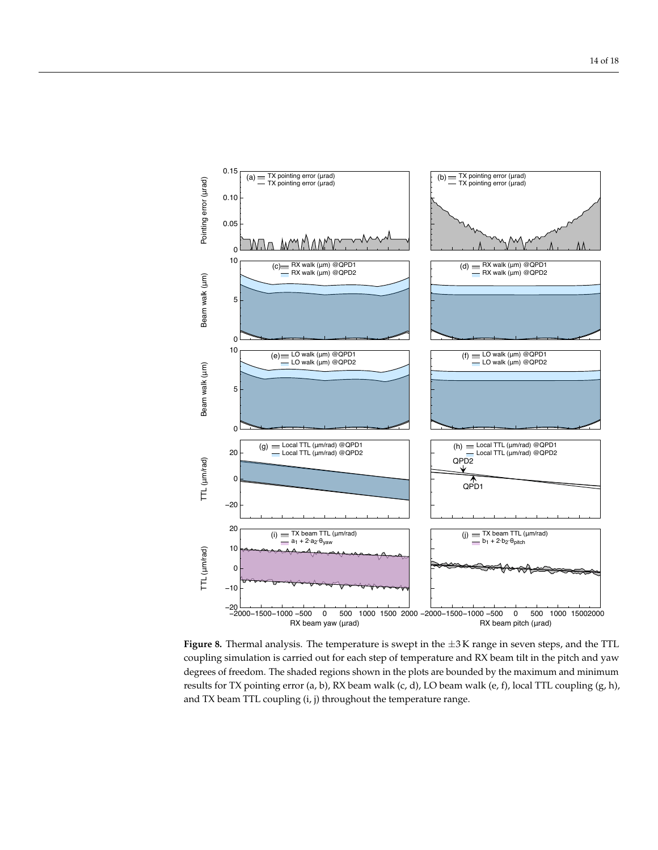<span id="page-13-0"></span>

**Figure 8.** Thermal analysis. The temperature is swept in the ±3 K range in seven steps, and the TTL coupling simulation is carried out for each step of temperature and RX beam tilt in the pitch and yaw degrees of freedom. The shaded regions shown in the plots are bounded by the maximum and minimum results for TX pointing error (a, b), RX beam walk (c, d), LO beam walk (e, f), local TTL coupling  $(g, h)$ , and TX beam TTL coupling (i, j) throughout the temperature range.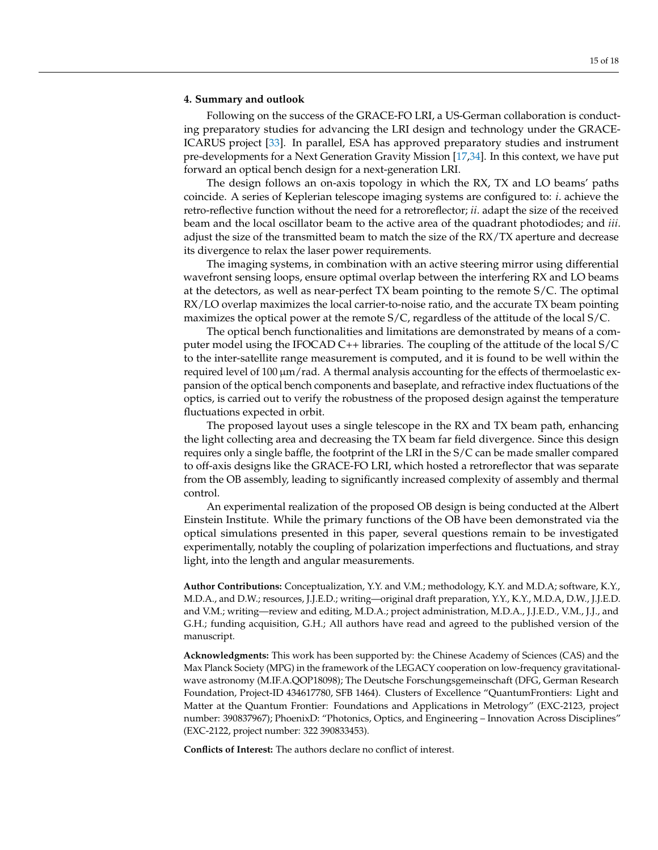#### <span id="page-14-0"></span>**4. Summary and outlook**

Following on the success of the GRACE-FO LRI, a US-German collaboration is conducting preparatory studies for advancing the LRI design and technology under the GRACE-ICARUS project [\[33\]](#page-17-11). In parallel, ESA has approved preparatory studies and instrument pre-developments for a Next Generation Gravity Mission [\[17](#page-16-12)[,34\]](#page-17-12). In this context, we have put forward an optical bench design for a next-generation LRI.

The design follows an on-axis topology in which the RX, TX and LO beams' paths coincide. A series of Keplerian telescope imaging systems are configured to: *i*. achieve the retro-reflective function without the need for a retroreflector; *ii*. adapt the size of the received beam and the local oscillator beam to the active area of the quadrant photodiodes; and *iii*. adjust the size of the transmitted beam to match the size of the RX/TX aperture and decrease its divergence to relax the laser power requirements.

The imaging systems, in combination with an active steering mirror using differential wavefront sensing loops, ensure optimal overlap between the interfering RX and LO beams at the detectors, as well as near-perfect TX beam pointing to the remote S/C. The optimal RX/LO overlap maximizes the local carrier-to-noise ratio, and the accurate TX beam pointing maximizes the optical power at the remote S/C, regardless of the attitude of the local S/C.

The optical bench functionalities and limitations are demonstrated by means of a computer model using the IFOCAD C++ libraries. The coupling of the attitude of the local S/C to the inter-satellite range measurement is computed, and it is found to be well within the required level of 100  $\mu$ m/rad. A thermal analysis accounting for the effects of thermoelastic expansion of the optical bench components and baseplate, and refractive index fluctuations of the optics, is carried out to verify the robustness of the proposed design against the temperature fluctuations expected in orbit.

The proposed layout uses a single telescope in the RX and TX beam path, enhancing the light collecting area and decreasing the TX beam far field divergence. Since this design requires only a single baffle, the footprint of the LRI in the S/C can be made smaller compared to off-axis designs like the GRACE-FO LRI, which hosted a retroreflector that was separate from the OB assembly, leading to significantly increased complexity of assembly and thermal control.

An experimental realization of the proposed OB design is being conducted at the Albert Einstein Institute. While the primary functions of the OB have been demonstrated via the optical simulations presented in this paper, several questions remain to be investigated experimentally, notably the coupling of polarization imperfections and fluctuations, and stray light, into the length and angular measurements.

**Author Contributions:** Conceptualization, Y.Y. and V.M.; methodology, K.Y. and M.D.A; software, K.Y., M.D.A., and D.W.; resources, J.J.E.D.; writing—original draft preparation, Y.Y., K.Y., M.D.A, D.W., J.J.E.D. and V.M.; writing—review and editing, M.D.A.; project administration, M.D.A., J.J.E.D., V.M., J.J., and G.H.; funding acquisition, G.H.; All authors have read and agreed to the published version of the manuscript.

**Acknowledgments:** This work has been supported by: the Chinese Academy of Sciences (CAS) and the Max Planck Society (MPG) in the framework of the LEGACY cooperation on low-frequency gravitationalwave astronomy (M.IF.A.QOP18098); The Deutsche Forschungsgemeinschaft (DFG, German Research Foundation, Project-ID 434617780, SFB 1464). Clusters of Excellence "QuantumFrontiers: Light and Matter at the Quantum Frontier: Foundations and Applications in Metrology" (EXC-2123, project number: 390837967); PhoenixD: "Photonics, Optics, and Engineering – Innovation Across Disciplines" (EXC-2122, project number: 322 390833453).

**Conflicts of Interest:** The authors declare no conflict of interest.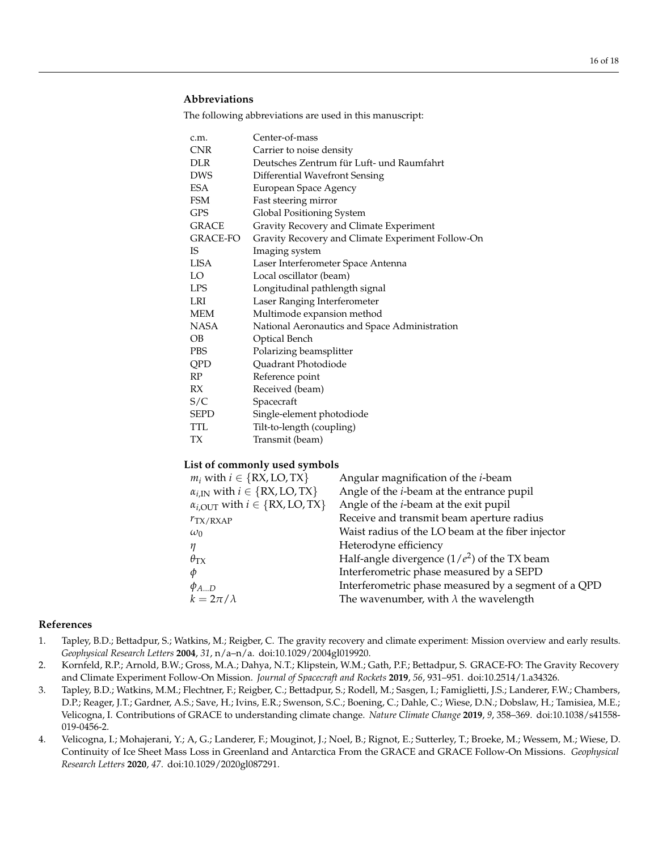# **Abbreviations**

The following abbreviations are used in this manuscript:

| c.m.         | Center-of-mass                                    |
|--------------|---------------------------------------------------|
| <b>CNR</b>   | Carrier to noise density                          |
| <b>DLR</b>   | Deutsches Zentrum für Luft- und Raumfahrt         |
| DWS          | Differential Wavefront Sensing                    |
| ESA          | European Space Agency                             |
| FSM          | Fast steering mirror                              |
| <b>GPS</b>   | Global Positioning System                         |
| <b>GRACE</b> | Gravity Recovery and Climate Experiment           |
| GRACE-FO     | Gravity Recovery and Climate Experiment Follow-On |
| IS           | Imaging system                                    |
| <b>LISA</b>  | Laser Interferometer Space Antenna                |
| LO           | Local oscillator (beam)                           |
| <b>LPS</b>   | Longitudinal pathlength signal                    |
| LRI          | Laser Ranging Interferometer                      |
| MEM          | Multimode expansion method                        |
| NASA         | National Aeronautics and Space Administration     |
| OB           | Optical Bench                                     |
| <b>PBS</b>   | Polarizing beamsplitter                           |
| QPD          | Quadrant Photodiode                               |
| RP           | Reference point                                   |
| RX           | Received (beam)                                   |
| S/C          | Spacecraft                                        |
| <b>SEPD</b>  | Single-element photodiode                         |
| TTL.         | Tilt-to-length (coupling)                         |
| TХ           | Transmit (beam)                                   |

# **List of commonly used symbols**

| $m_i$ with $i \in \{RX, LO, TX\}$                   | Angular magnification of the <i>i</i> -beam          |
|-----------------------------------------------------|------------------------------------------------------|
| $\alpha_{i,IN}$ with $i \in \{RX, LO, TX\}$         | Angle of the <i>i</i> -beam at the entrance pupil    |
| $\alpha_{i,\text{OUT}}$ with $i \in \{RX, LO, TX\}$ | Angle of the <i>i</i> -beam at the exit pupil        |
| $r_{\rm TX/RXAP}$                                   | Receive and transmit beam aperture radius            |
| $\omega_0$                                          | Waist radius of the LO beam at the fiber injector    |
| $\eta$                                              | Heterodyne efficiency                                |
| $\theta_{\text{TX}}$                                | Half-angle divergence $(1/e^2)$ of the TX beam       |
| $\phi$                                              | Interferometric phase measured by a SEPD             |
| $\phi_{AD}$                                         | Interferometric phase measured by a segment of a QPD |
| $k=2\pi/\lambda$                                    | The wavenumber, with $\lambda$ the wavelength        |
|                                                     |                                                      |

#### **References**

- <span id="page-15-0"></span>1. Tapley, B.D.; Bettadpur, S.; Watkins, M.; Reigber, C. The gravity recovery and climate experiment: Mission overview and early results. *Geophysical Research Letters* **2004**, *31*, n/a–n/a. doi[:10.1029/2004gl019920.](https://doi.org/10.1029/2004gl019920)
- <span id="page-15-1"></span>2. Kornfeld, R.P.; Arnold, B.W.; Gross, M.A.; Dahya, N.T.; Klipstein, W.M.; Gath, P.F.; Bettadpur, S. GRACE-FO: The Gravity Recovery and Climate Experiment Follow-On Mission. *Journal of Spacecraft and Rockets* **2019**, *56*, 931–951. doi[:10.2514/1.a34326.](https://doi.org/10.2514/1.a34326)
- <span id="page-15-2"></span>3. Tapley, B.D.; Watkins, M.M.; Flechtner, F.; Reigber, C.; Bettadpur, S.; Rodell, M.; Sasgen, I.; Famiglietti, J.S.; Landerer, F.W.; Chambers, D.P.; Reager, J.T.; Gardner, A.S.; Save, H.; Ivins, E.R.; Swenson, S.C.; Boening, C.; Dahle, C.; Wiese, D.N.; Dobslaw, H.; Tamisiea, M.E.; Velicogna, I. Contributions of GRACE to understanding climate change. *Nature Climate Change* **2019**, *9*, 358–369. doi[:10.1038/s41558-](https://doi.org/10.1038/s41558-019-0456-2) [019-0456-2.](https://doi.org/10.1038/s41558-019-0456-2)
- 4. Velicogna, I.; Mohajerani, Y.; A, G.; Landerer, F.; Mouginot, J.; Noel, B.; Rignot, E.; Sutterley, T.; Broeke, M.; Wessem, M.; Wiese, D. Continuity of Ice Sheet Mass Loss in Greenland and Antarctica From the GRACE and GRACE Follow-On Missions. *Geophysical Research Letters* **2020**, *47*. doi[:10.1029/2020gl087291.](https://doi.org/10.1029/2020gl087291)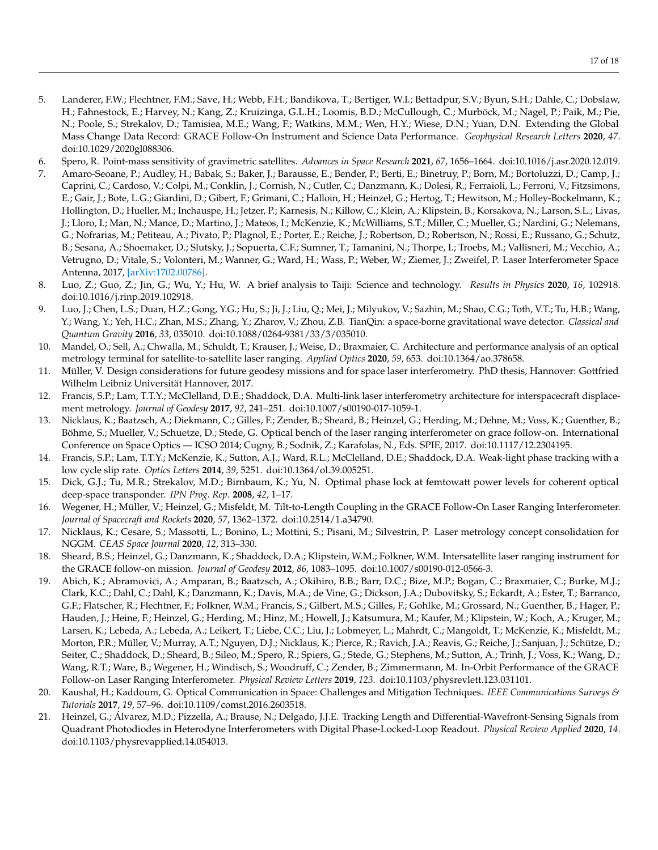- <span id="page-16-0"></span>5. Landerer, F.W.; Flechtner, F.M.; Save, H.; Webb, F.H.; Bandikova, T.; Bertiger, W.I.; Bettadpur, S.V.; Byun, S.H.; Dahle, C.; Dobslaw, H.; Fahnestock, E.; Harvey, N.; Kang, Z.; Kruizinga, G.L.H.; Loomis, B.D.; McCullough, C.; Murböck, M.; Nagel, P.; Paik, M.; Pie, N.; Poole, S.; Strekalov, D.; Tamisiea, M.E.; Wang, F.; Watkins, M.M.; Wen, H.Y.; Wiese, D.N.; Yuan, D.N. Extending the Global Mass Change Data Record: GRACE Follow-On Instrument and Science Data Performance. *Geophysical Research Letters* **2020**, *47*. doi[:10.1029/2020gl088306.](https://doi.org/10.1029/2020gl088306)
- <span id="page-16-1"></span>6. Spero, R. Point-mass sensitivity of gravimetric satellites. *Advances in Space Research* **2021**, *67*, 1656–1664. doi[:10.1016/j.asr.2020.12.019.](https://doi.org/10.1016/j.asr.2020.12.019)
- <span id="page-16-2"></span>7. Amaro-Seoane, P.; Audley, H.; Babak, S.; Baker, J.; Barausse, E.; Bender, P.; Berti, E.; Binetruy, P.; Born, M.; Bortoluzzi, D.; Camp, J.; Caprini, C.; Cardoso, V.; Colpi, M.; Conklin, J.; Cornish, N.; Cutler, C.; Danzmann, K.; Dolesi, R.; Ferraioli, L.; Ferroni, V.; Fitzsimons, E.; Gair, J.; Bote, L.G.; Giardini, D.; Gibert, F.; Grimani, C.; Halloin, H.; Heinzel, G.; Hertog, T.; Hewitson, M.; Holley-Bockelmann, K.; Hollington, D.; Hueller, M.; Inchauspe, H.; Jetzer, P.; Karnesis, N.; Killow, C.; Klein, A.; Klipstein, B.; Korsakova, N.; Larson, S.L.; Livas, J.; Lloro, I.; Man, N.; Mance, D.; Martino, J.; Mateos, I.; McKenzie, K.; McWilliams, S.T.; Miller, C.; Mueller, G.; Nardini, G.; Nelemans, G.; Nofrarias, M.; Petiteau, A.; Pivato, P.; Plagnol, E.; Porter, E.; Reiche, J.; Robertson, D.; Robertson, N.; Rossi, E.; Russano, G.; Schutz, B.; Sesana, A.; Shoemaker, D.; Slutsky, J.; Sopuerta, C.F.; Sumner, T.; Tamanini, N.; Thorpe, I.; Troebs, M.; Vallisneri, M.; Vecchio, A.; Vetrugno, D.; Vitale, S.; Volonteri, M.; Wanner, G.; Ward, H.; Wass, P.; Weber, W.; Ziemer, J.; Zweifel, P. Laser Interferometer Space Antenna, 2017, [\[arXiv:1702.00786\].](http://xxx.lanl.gov/abs/arXiv:1702.00786)
- <span id="page-16-3"></span>8. Luo, Z.; Guo, Z.; Jin, G.; Wu, Y.; Hu, W. A brief analysis to Taiji: Science and technology. *Results in Physics* **2020**, *16*, 102918. doi[:10.1016/j.rinp.2019.102918.](https://doi.org/10.1016/j.rinp.2019.102918)
- <span id="page-16-4"></span>9. Luo, J.; Chen, L.S.; Duan, H.Z.; Gong, Y.G.; Hu, S.; Ji, J.; Liu, Q.; Mei, J.; Milyukov, V.; Sazhin, M.; Shao, C.G.; Toth, V.T.; Tu, H.B.; Wang, Y.; Wang, Y.; Yeh, H.C.; Zhan, M.S.; Zhang, Y.; Zharov, V.; Zhou, Z.B. TianQin: a space-borne gravitational wave detector. *Classical and Quantum Gravity* **2016**, *33*, 035010. doi[:10.1088/0264-9381/33/3/035010.](https://doi.org/10.1088/0264-9381/33/3/035010)
- <span id="page-16-5"></span>10. Mandel, O.; Sell, A.; Chwalla, M.; Schuldt, T.; Krauser, J.; Weise, D.; Braxmaier, C. Architecture and performance analysis of an optical metrology terminal for satellite-to-satellite laser ranging. *Applied Optics* **2020**, *59*, 653. doi[:10.1364/ao.378658.](https://doi.org/10.1364/ao.378658)
- <span id="page-16-8"></span>11. Müller, V. Design considerations for future geodesy missions and for space laser interferometry. PhD thesis, Hannover: Gottfried Wilhelm Leibniz Universität Hannover, 2017.
- <span id="page-16-6"></span>12. Francis, S.P.; Lam, T.T.Y.; McClelland, D.E.; Shaddock, D.A. Multi-link laser interferometry architecture for interspacecraft displacement metrology. *Journal of Geodesy* **2017**, *92*, 241–251. doi[:10.1007/s00190-017-1059-1.](https://doi.org/10.1007/s00190-017-1059-1)
- <span id="page-16-7"></span>13. Nicklaus, K.; Baatzsch, A.; Diekmann, C.; Gilles, F.; Zender, B.; Sheard, B.; Heinzel, G.; Herding, M.; Dehne, M.; Voss, K.; Guenther, B.; Böhme, S.; Mueller, V.; Schuetze, D.; Stede, G. Optical bench of the laser ranging interferometer on grace follow-on. International Conference on Space Optics — ICSO 2014; Cugny, B.; Sodnik, Z.; Karafolas, N., Eds. SPIE, 2017. doi[:10.1117/12.2304195.](https://doi.org/10.1117/12.2304195)
- <span id="page-16-9"></span>14. Francis, S.P.; Lam, T.T.Y.; McKenzie, K.; Sutton, A.J.; Ward, R.L.; McClelland, D.E.; Shaddock, D.A. Weak-light phase tracking with a low cycle slip rate. *Optics Letters* **2014**, *39*, 5251. doi[:10.1364/ol.39.005251.](https://doi.org/10.1364/ol.39.005251)
- <span id="page-16-10"></span>15. Dick, G.J.; Tu, M.R.; Strekalov, M.D.; Birnbaum, K.; Yu, N. Optimal phase lock at femtowatt power levels for coherent optical deep-space transponder. *IPN Prog. Rep.* **2008**, *42*, 1–17.
- <span id="page-16-11"></span>16. Wegener, H.; Müller, V.; Heinzel, G.; Misfeldt, M. Tilt-to-Length Coupling in the GRACE Follow-On Laser Ranging Interferometer. *Journal of Spacecraft and Rockets* **2020**, *57*, 1362–1372. doi[:10.2514/1.a34790.](https://doi.org/10.2514/1.a34790)
- <span id="page-16-12"></span>17. Nicklaus, K.; Cesare, S.; Massotti, L.; Bonino, L.; Mottini, S.; Pisani, M.; Silvestrin, P. Laser metrology concept consolidation for NGGM. *CEAS Space Journal* **2020**, *12*, 313–330.
- <span id="page-16-13"></span>18. Sheard, B.S.; Heinzel, G.; Danzmann, K.; Shaddock, D.A.; Klipstein, W.M.; Folkner, W.M. Intersatellite laser ranging instrument for the GRACE follow-on mission. *Journal of Geodesy* **2012**, *86*, 1083–1095. doi[:10.1007/s00190-012-0566-3.](https://doi.org/10.1007/s00190-012-0566-3)
- <span id="page-16-14"></span>19. Abich, K.; Abramovici, A.; Amparan, B.; Baatzsch, A.; Okihiro, B.B.; Barr, D.C.; Bize, M.P.; Bogan, C.; Braxmaier, C.; Burke, M.J.; Clark, K.C.; Dahl, C.; Dahl, K.; Danzmann, K.; Davis, M.A.; de Vine, G.; Dickson, J.A.; Dubovitsky, S.; Eckardt, A.; Ester, T.; Barranco, G.F.; Flatscher, R.; Flechtner, F.; Folkner, W.M.; Francis, S.; Gilbert, M.S.; Gilles, F.; Gohlke, M.; Grossard, N.; Guenther, B.; Hager, P.; Hauden, J.; Heine, F.; Heinzel, G.; Herding, M.; Hinz, M.; Howell, J.; Katsumura, M.; Kaufer, M.; Klipstein, W.; Koch, A.; Kruger, M.; Larsen, K.; Lebeda, A.; Lebeda, A.; Leikert, T.; Liebe, C.C.; Liu, J.; Lobmeyer, L.; Mahrdt, C.; Mangoldt, T.; McKenzie, K.; Misfeldt, M.; Morton, P.R.; Müller, V.; Murray, A.T.; Nguyen, D.J.; Nicklaus, K.; Pierce, R.; Ravich, J.A.; Reavis, G.; Reiche, J.; Sanjuan, J.; Schütze, D.; Seiter, C.; Shaddock, D.; Sheard, B.; Sileo, M.; Spero, R.; Spiers, G.; Stede, G.; Stephens, M.; Sutton, A.; Trinh, J.; Voss, K.; Wang, D.; Wang, R.T.; Ware, B.; Wegener, H.; Windisch, S.; Woodruff, C.; Zender, B.; Zimmermann, M. In-Orbit Performance of the GRACE Follow-on Laser Ranging Interferometer. *Physical Review Letters* **2019**, *123*. doi[:10.1103/physrevlett.123.031101.](https://doi.org/10.1103/physrevlett.123.031101)
- <span id="page-16-15"></span>20. Kaushal, H.; Kaddoum, G. Optical Communication in Space: Challenges and Mitigation Techniques. *IEEE Communications Surveys & Tutorials* **2017**, *19*, 57–96. doi[:10.1109/comst.2016.2603518.](https://doi.org/10.1109/comst.2016.2603518)
- <span id="page-16-16"></span>21. Heinzel, G.; Álvarez, M.D.; Pizzella, A.; Brause, N.; Delgado, J.J.E. Tracking Length and Differential-Wavefront-Sensing Signals from Quadrant Photodiodes in Heterodyne Interferometers with Digital Phase-Locked-Loop Readout. *Physical Review Applied* **2020**, *14*. doi[:10.1103/physrevapplied.14.054013.](https://doi.org/10.1103/physrevapplied.14.054013)